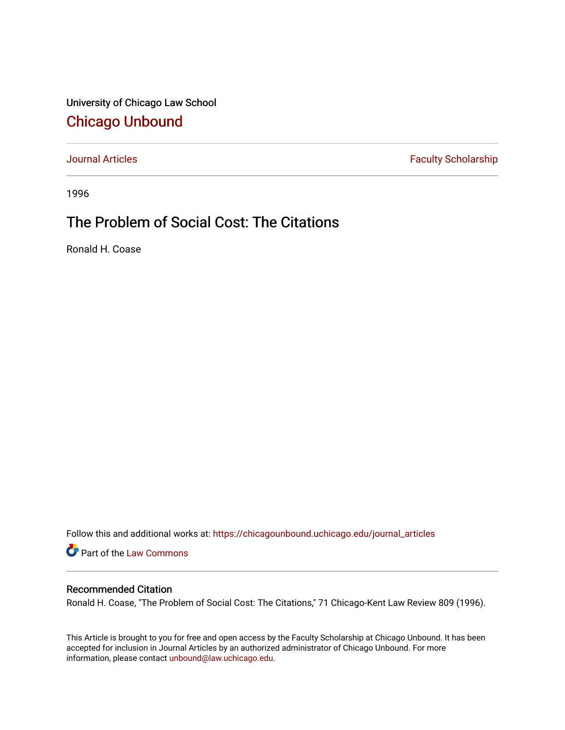University of Chicago Law School [Chicago Unbound](https://chicagounbound.uchicago.edu/)

[Journal Articles](https://chicagounbound.uchicago.edu/journal_articles) **Faculty Scholarship Faculty Scholarship** 

1996

## The Problem of Social Cost: The Citations

Ronald H. Coase

Follow this and additional works at: [https://chicagounbound.uchicago.edu/journal\\_articles](https://chicagounbound.uchicago.edu/journal_articles?utm_source=chicagounbound.uchicago.edu%2Fjournal_articles%2F7090&utm_medium=PDF&utm_campaign=PDFCoverPages) 

Part of the [Law Commons](http://network.bepress.com/hgg/discipline/578?utm_source=chicagounbound.uchicago.edu%2Fjournal_articles%2F7090&utm_medium=PDF&utm_campaign=PDFCoverPages)

## Recommended Citation

Ronald H. Coase, "The Problem of Social Cost: The Citations," 71 Chicago-Kent Law Review 809 (1996).

This Article is brought to you for free and open access by the Faculty Scholarship at Chicago Unbound. It has been accepted for inclusion in Journal Articles by an authorized administrator of Chicago Unbound. For more information, please contact [unbound@law.uchicago.edu](mailto:unbound@law.uchicago.edu).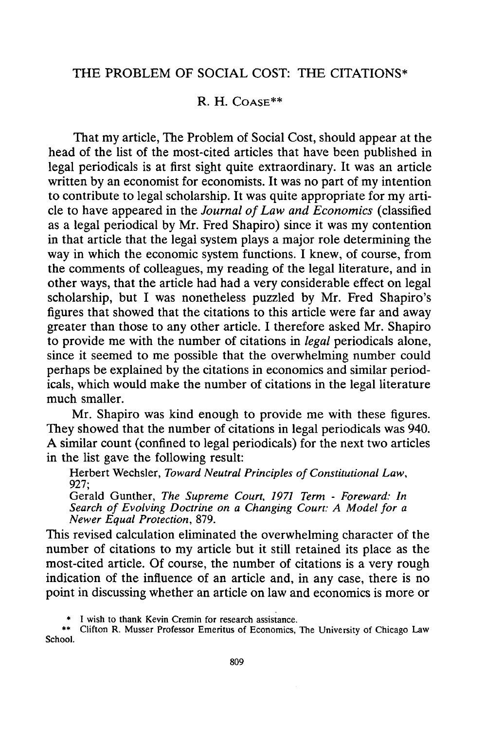## R. H. **COASE\*\***

That my article, The Problem of Social Cost, should appear at the head of the list of the most-cited articles that have been published in legal periodicals is at first sight quite extraordinary. It was an article written by an economist for economists. It was no part of my intention to contribute to legal scholarship. It was quite appropriate for my article to have appeared in the *Journal of Law and Economics* (classified as a legal periodical by Mr. Fred Shapiro) since it was my contention in that article that the legal system plays a major role determining the way in which the economic system functions. I knew, of course, from the comments of colleagues, my reading of the legal literature, and in other ways, that the article had had a very considerable effect on legal scholarship, but I was nonetheless puzzled by Mr. Fred Shapiro's figures that showed that the citations to this article were far and away greater than those to any other article. I therefore asked Mr. Shapiro to provide me with the number of citations in *legal* periodicals alone, since it seemed to me possible that the overwhelming number could perhaps be explained by the citations in economics and similar periodicals, which would make the number of citations in the legal literature much smaller.

Mr. Shapiro was kind enough to provide me with these figures. They showed that the number of citations in legal periodicals was 940. A similar count (confined to legal periodicals) for the next two articles in the list gave the following result:

Herbert Wechsler, *Toward Neutral Principles of Constitutional Law,* 927;

Gerald Gunther, *The Supreme Court, 1971 Term* - *Foreward: In Search of Evolving Doctrine on a Changing Court: A Model for a Newer Equal Protection,* 879.

This revised calculation eliminated the overwhelming character of the number of citations to my article but it still retained its place as the most-cited article. Of course, the number of citations is a very rough indication of the influence of an article and, in any case, there is no point in discussing whether an article on law and economics is more or

I wish to thank Kevin Cremin for research assistance.

Clifton R. Musser Professor Emeritus of Economics, The University of Chicago Law School.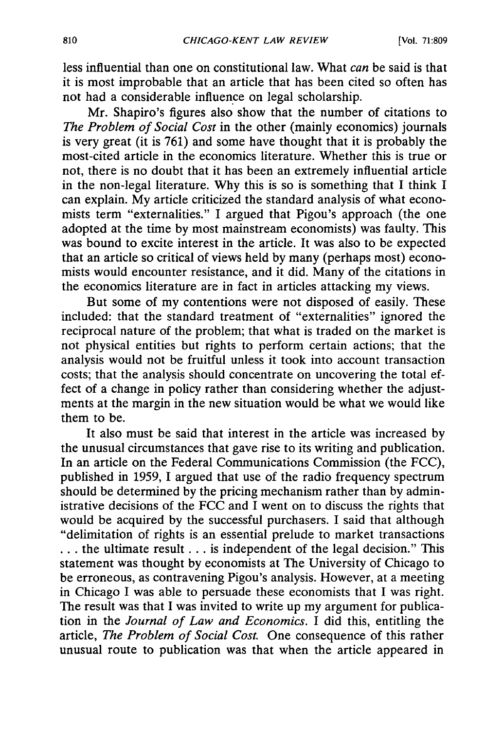less influential than one on constitutional law. What *can* be said is that it is most improbable that an article that has been cited so often has not had a considerable influence on legal scholarship.

Mr. Shapiro's figures also show that the number of citations to *The Problem of Social Cost* in the other (mainly economics) journals is very great (it is 761) and some have thought that it is probably the most-cited article in the economics literature. Whether this is true or not, there is no doubt that it has been an extremely influential article in the non-legal literature. Why this is so is something that I think I can explain. My article criticized the standard analysis of what economists term "externalities." I argued that Pigou's approach (the one adopted at the time by most mainstream economists) was faulty. This was bound to excite interest in the article. It was also to be expected that an article so critical of views held by many (perhaps most) economists would encounter resistance, and it did. Many of the citations in the economics literature are in fact in articles attacking my views.

But some of my contentions were not disposed of easily. These included: that the standard treatment of "externalities" ignored the reciprocal nature of the problem; that what is traded on the market is not physical entities but rights to perform certain actions; that the analysis would not be fruitful unless it took into account transaction costs; that the analysis should concentrate on uncovering the total effect of a change in policy rather than considering whether the adjustments at the margin in the new situation would be what we would like them to be.

It also must be said that interest in the article was increased by the unusual circumstances that gave rise to its writing and publication. In an article on the Federal Communications Commission (the FCC), published in 1959, I argued that use of the radio frequency spectrum should be determined by the pricing mechanism rather than by administrative decisions of the FCC and  $\overline{I}$  went on to discuss the rights that would be acquired by the successful purchasers. I said that although "delimitation of rights is an essential prelude to market transactions **..** the ultimate result... is independent of the legal decision." This statement was thought by economists at The University of Chicago to be erroneous, as contravening Pigou's analysis. However, at a meeting in Chicago I was able to persuade these economists that I was right. The result was that I was invited to write up my argument for publication in the *Journal of Law and Economics.* I did this, entitling the article, *The Problem of Social Cost.* One consequence of this rather unusual route to publication was that when the article appeared in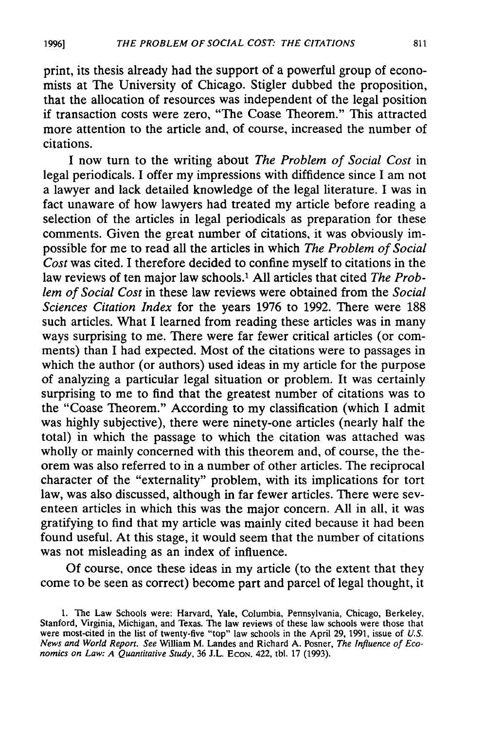print, its thesis already had the support of a powerful group of economists at The University of Chicago. Stigler dubbed the proposition, that the allocation of resources was independent of the legal position if transaction costs were zero, "The Coase Theorem." This attracted more attention to the article and, of course, increased the number of citations.

I now turn to the writing about *The Problem of Social Cost* in legal periodicals. I offer my impressions with diffidence since I am not a lawyer and lack detailed knowledge of the legal literature. I was in fact unaware of how lawyers had treated my article before reading a selection of the articles in legal periodicals as preparation for these comments. Given the great number of citations, it was obviously impossible for me to read all the articles in which *The Problem of Social Cost* was cited. I therefore decided to confine myself to citations in the law reviews of ten major law schools.1 All articles that cited *The Problem of Social Cost* in these law reviews were obtained from the *Social Sciences Citation Index* for the years 1976 to 1992. There were 188 such articles. What I learned from reading these articles was in many ways surprising to me. There were far fewer critical articles (or comments) than I had expected. Most of the citations were to passages in which the author (or authors) used ideas in my article for the purpose of analyzing a particular legal situation or problem. It was certainly surprising to me to find that the greatest number of citations was to the "Coase Theorem." According to my classification (which I admit was highly subjective), there were ninety-one articles (nearly half the total) in which the passage to which the citation was attached was wholly or mainly concerned with this theorem and, of course, the theorem was also referred to in a number of other articles. The reciprocal character of the "externality" problem, with its implications for tort law, was also discussed, although in far fewer articles. There were seventeen articles in which this was the major concern. All in all, it was gratifying to find that my article was mainly cited because it had been found useful. At this stage, it would seem that the number of citations was not misleading as an index of influence.

**Of** course, once these ideas in my article (to the extent that they come to be seen as correct) become part and parcel of legal thought, it

<sup>1.</sup> The Law Schools were: Harvard, Yale, Columbia, Pennsylvania, Chicago, Berkeley, Stanford, Virginia, Michigan, and Texas. The law reviews of these law schools were those that were most-cited in the list of twenty-five "top" law schools in the April 29, 1991, issue of *U.S. News and World Report. See* William M. Landes and Richard A. Posner, *The Influence of Economics on Law: A Quantitative Study, 36 J.L. Econ. 422, tbl. 17 (1993).*